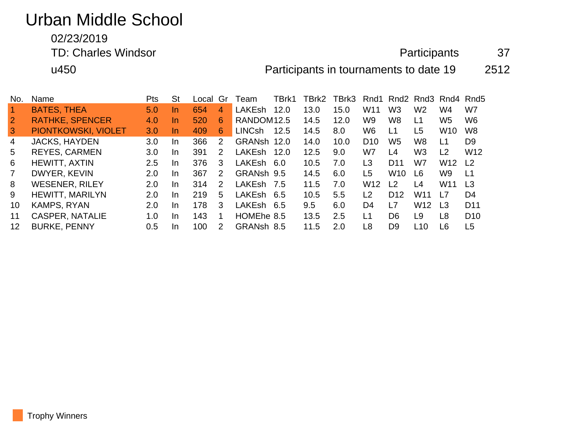# Urban Middle School

# 02/23/2019

TD: Charles Windsor **Participants** 37

u450 Participants in tournaments to date 19 2512

| No.            | Name                   | <b>Pts</b> | <b>St</b> | Local | Gr            | Team                   | TBrk1 | TBrk2 | TBrk3 |                 | Rnd1 Rnd2 Rnd3 Rnd4 Rnd5 |                 |                 |                 |
|----------------|------------------------|------------|-----------|-------|---------------|------------------------|-------|-------|-------|-----------------|--------------------------|-----------------|-----------------|-----------------|
|                | <b>BATES, THEA</b>     | 5.0        | In        | 654   | 4             | <b>LAKEsh</b>          | 12.0  | 13.0  | 15.0  | W11             | W <sub>3</sub>           | W <sub>2</sub>  | W4              | W7              |
| $\overline{2}$ | <b>RATHKE, SPENCER</b> | 4.0        | In.       | 520   | 6             | RANDOM <sub>12.5</sub> |       | 14.5  | 12.0  | W9              | W8                       | L1              | W <sub>5</sub>  | W <sub>6</sub>  |
| $\overline{3}$ | PIONTKOWSKI, VIOLET    | 3.0        | In.       | 409   | 6             | <b>LINCsh</b>          | 12.5  | 14.5  | 8.0   | W <sub>6</sub>  | L1                       | L5              | W <sub>10</sub> | W <sub>8</sub>  |
| 4              | <b>JACKS, HAYDEN</b>   | 3.0        | In.       | 366   | $\mathcal{P}$ | GRANsh 12.0            |       | 14.0  | 10.0  | D <sub>10</sub> | W5                       | W <sub>8</sub>  | L1              | D <sub>9</sub>  |
| 5              | <b>REYES, CARMEN</b>   | 3.0        | In.       | 391   | 2             | <b>LAKEsh</b>          | 12.0  | 12.5  | 9.0   | W7              | L4                       | W <sub>3</sub>  | L2              | W <sub>12</sub> |
| 6              | HEWITT, AXTIN          | 2.5        | In.       | 376   | 3             | LAKEsh                 | -6.0  | 10.5  | 7.0   | L3              | D <sub>11</sub>          | W7              | W <sub>12</sub> | L <sub>2</sub>  |
| $\overline{7}$ | DWYER, KEVIN           | 2.0        | In.       | 367   | 2             | GRANsh 9.5             |       | 14.5  | 6.0   | L5              | W <sub>10</sub>          | L6              | W9              | L1              |
| 8              | <b>WESENER, RILEY</b>  | 2.0        | In        | 314   | 2             | <b>LAKEsh</b>          | - 7.5 | 11.5  | 7.0   | W <sub>12</sub> | L2                       | L <sub>4</sub>  | W <sub>11</sub> | L <sub>3</sub>  |
| 9              | <b>HEWITT, MARILYN</b> | 2.0        | In        | 219   | 5             | <b>LAKEsh</b>          | 6.5   | 10.5  | 5.5   | L <sub>2</sub>  | D <sub>12</sub>          | W11             | L7              | D <sub>4</sub>  |
| 10             | <b>KAMPS, RYAN</b>     | 2.0        | In        | 178   | 3             | <b>LAKEsh</b>          | 6.5   | 9.5   | 6.0   | D <sub>4</sub>  | L7                       | W <sub>12</sub> | L <sub>3</sub>  | D <sub>11</sub> |
| 11             | <b>CASPER, NATALIE</b> | 1.0        | In        | 143   | 1             | HOMEhe 8.5             |       | 13.5  | 2.5   | L1              | D <sub>6</sub>           | L9              | L <sub>8</sub>  | D <sub>10</sub> |
| 12             | <b>BURKE, PENNY</b>    | 0.5        | In        | 100   | 2             | GRANsh 8.5             |       | 11.5  | 2.0   | L8              | D <sub>9</sub>           | L10             | L <sub>6</sub>  | L5              |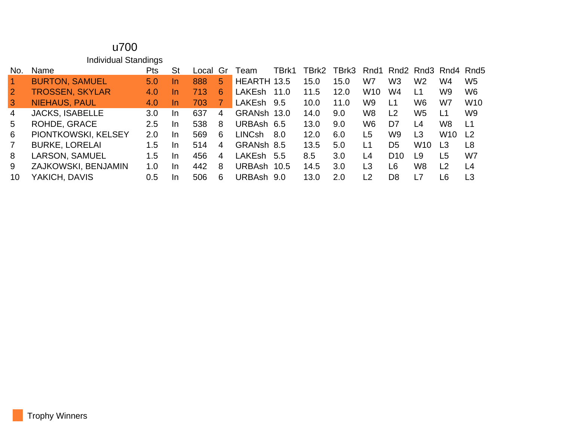#### u700 Individual Standings

| No.                  | <b>Name</b>            | Pts     | St        | Local | Gr             | Team        | TBrk1 | TBrk2 | TBrk3 |                 | Rnd1 Rnd2 Rnd3 Rnd4 Rnd5 |                 |                 |                |
|----------------------|------------------------|---------|-----------|-------|----------------|-------------|-------|-------|-------|-----------------|--------------------------|-----------------|-----------------|----------------|
| $\blacktriangleleft$ | <b>BURTON, SAMUEL</b>  | 5.0     | <u>In</u> | 888   | 5.             | HEARTH 13.5 |       | 15.0  | 15.0  | W7              | W <sub>3</sub>           | W <sub>2</sub>  | W4              | W <sub>5</sub> |
| $\overline{2}$       | <b>TROSSEN, SKYLAR</b> | 4.0     | <u>In</u> | 713   | 6              | LAKEsh      | 11.0  | 11.5  | 12.0  | W <sub>10</sub> | W4                       | L1              | W9              | W <sub>6</sub> |
| 3                    | <b>NIEHAUS, PAUL</b>   | 4.0     | <u>In</u> | 703   |                | LAKEsh      | 9.5   | 10.0  | 11.0  | W9              | L1                       | W <sub>6</sub>  | W7              | <b>W10</b>     |
| $\overline{4}$       | <b>JACKS, ISABELLE</b> | 3.0     | In.       | 637   | 4              | GRANsh 13.0 |       | 14.0  | 9.0   | W <sub>8</sub>  | L <sub>2</sub>           | W <sub>5</sub>  | L1              | W <sub>9</sub> |
| 5                    | ROHDE, GRACE           | $2.5\,$ | -In       | 538   | 8              | URBAsh 6.5  |       | 13.0  | 9.0   | W6              | D7                       | L4              | W8              | L1             |
| 6                    | PIONTKOWSKI, KELSEY    | 2.0     | In        | 569   | 6              | LINCsh      | 8.0   | 12.0  | 6.0   | L5              | W9                       | L3              | W <sub>10</sub> | L <sub>2</sub> |
| $\overline{7}$       | <b>BURKE, LORELAI</b>  | 1.5     | In        | 514   | 4              | GRANsh 8.5  |       | 13.5  | 5.0   | L1              | D <sub>5</sub>           | W <sub>10</sub> | L <sub>3</sub>  | L <sub>8</sub> |
| 8                    | <b>LARSON, SAMUEL</b>  | 1.5     | -In       | 456   | $\overline{4}$ | LAKEsh      | -5.5  | 8.5   | 3.0   | L4              | D <sub>10</sub>          | L9              | L5              | W7             |
| 9                    | ZAJKOWSKI, BENJAMIN    | 1.0     | In        | 442   | 8              | URBAsh      | 10.5  | 14.5  | 3.0   | L3              | L <sub>6</sub>           | W <sub>8</sub>  | L <sub>2</sub>  | L <sub>4</sub> |
| 10                   | YAKICH, DAVIS          | 0.5     | In        | 506   | 6              | URBAsh      | 9.0   | 13.0  | 2.0   | L <sub>2</sub>  | D <sub>8</sub>           | L7              | L6              | L3             |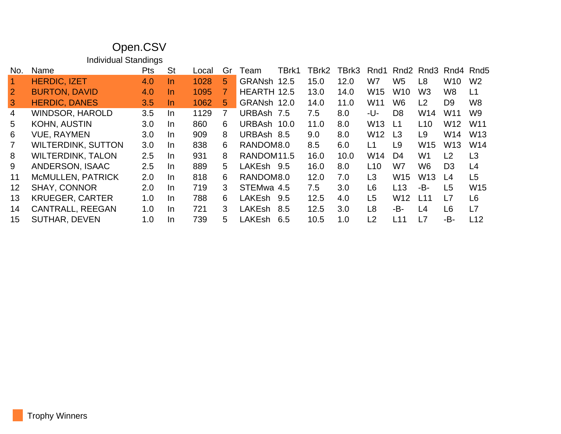## Open.CSV

Individual Standings

| No.            | Name                      | <b>Pts</b> | St        | Local | Gr | Team                   | TBrk1 | TBrk2 | TBrk3 | Rnd1            |                 |                 | Rnd2 Rnd3 Rnd4 Rnd5 |                 |
|----------------|---------------------------|------------|-----------|-------|----|------------------------|-------|-------|-------|-----------------|-----------------|-----------------|---------------------|-----------------|
|                | <b>HERDIC, IZET</b>       | 4.0        | In        | 1028  | 5  | GRANsh                 | 12.5  | 15.0  | 12.0  | W7              | W <sub>5</sub>  | L8              | W <sub>10</sub>     | W <sub>2</sub>  |
| $\overline{2}$ | <b>BURTON, DAVID</b>      | 4.0        | In        | 1095  | 7  | HEARTH 12.5            |       | 13.0  | 14.0  | W <sub>15</sub> | W <sub>10</sub> | W3              | W <sub>8</sub>      | L1              |
| $\mathbf{3}$   | <b>HERDIC, DANES</b>      | 3.5        | <u>In</u> | 1062  | 5. | GRANsh                 | 12.0  | 14.0  | 11.0  | W <sub>11</sub> | W <sub>6</sub>  | L2              | D <sub>9</sub>      | W <sub>8</sub>  |
| 4              | <b>WINDSOR, HAROLD</b>    | 3.5        | In.       | 1129  | 7  | URBAsh 7.5             |       | 7.5   | 8.0   | -U-             | D <sub>8</sub>  | W14             | W <sub>11</sub>     | W <sub>9</sub>  |
| 5              | <b>KOHN, AUSTIN</b>       | 3.0        | In.       | 860   | 6  | <b>URBAsh</b>          | 10.0  | 11.0  | 8.0   | W <sub>13</sub> | L1              | L <sub>10</sub> | W <sub>12</sub>     | W <sub>11</sub> |
| 6              | <b>VUE, RAYMEN</b>        | 3.0        | In.       | 909   | 8  | URBAsh 8.5             |       | 9.0   | 8.0   | W <sub>12</sub> | L <sub>3</sub>  | L9              | W14                 | W <sub>13</sub> |
|                | <b>WILTERDINK, SUTTON</b> | 3.0        | In.       | 838   | 6  | RANDOM8.0              |       | 8.5   | 6.0   | L1              | L9              | W <sub>15</sub> | W <sub>13</sub>     | W14             |
| 8              | <b>WILTERDINK, TALON</b>  | 2.5        | In.       | 931   | 8  | RANDOM <sub>11.5</sub> |       | 16.0  | 10.0  | W14             | D4              | W1              | L <sub>2</sub>      | L3              |
| 9              | ANDERSON, ISAAC           | 2.5        | In        | 889   | 5. | LAKEsh 9.5             |       | 16.0  | 8.0   | L <sub>10</sub> | W7              | W6              | D <sub>3</sub>      | L4              |
| 11             | <b>McMULLEN, PATRICK</b>  | 2.0        | In        | 818   | 6  | RANDOM8.0              |       | 12.0  | 7.0   | L3              | W <sub>15</sub> | W <sub>13</sub> | L4                  | L <sub>5</sub>  |
| 12             | <b>SHAY, CONNOR</b>       | 2.0        | In        | 719   | 3  | STEMwa 4.5             |       | 7.5   | 3.0   | L6              | L <sub>13</sub> | -B-             | L <sub>5</sub>      | W15             |
| 13             | <b>KRUEGER, CARTER</b>    | 1.0        | In.       | 788   | 6  | LAKEsh 9.5             |       | 12.5  | 4.0   | L5              | W <sub>12</sub> | L11             | L7                  | L <sub>6</sub>  |
| 14             | <b>CANTRALL, REEGAN</b>   | 1.0        | In.       | 721   | 3  | LAKEsh                 | 8.5   | 12.5  | 3.0   | L8              | -B-             | L4              | L <sub>6</sub>      | L7              |
| 15             | <b>SUTHAR, DEVEN</b>      | 1.0        | In.       | 739   | 5  | LAKEsh                 | 6.5   | 10.5  | 1.0   | L <sub>2</sub>  | L11             | L7              | -B-                 | L12             |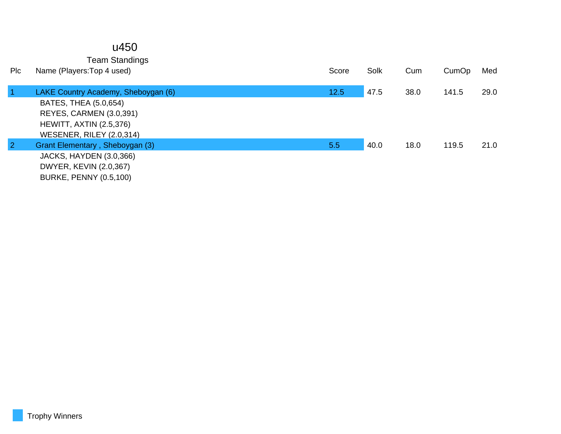#### u450

Team Standings

| <b>PIC</b>     | Name (Players: Top 4 used)          | Score | Solk | Cum  | CumOp | Med  |
|----------------|-------------------------------------|-------|------|------|-------|------|
|                | LAKE Country Academy, Sheboygan (6) | 12.5  | 47.5 | 38.0 | 141.5 | 29.0 |
|                | BATES, THEA (5.0,654)               |       |      |      |       |      |
|                | REYES, CARMEN (3.0,391)             |       |      |      |       |      |
|                | <b>HEWITT, AXTIN (2.5,376)</b>      |       |      |      |       |      |
|                | WESENER, RILEY (2.0,314)            |       |      |      |       |      |
| $\overline{2}$ | Grant Elementary, Sheboygan (3)     | 5.5   | 40.0 | 18.0 | 119.5 | 21.0 |
|                | JACKS, HAYDEN (3.0,366)             |       |      |      |       |      |
|                | DWYER, KEVIN (2.0,367)              |       |      |      |       |      |
|                | <b>BURKE, PENNY (0.5,100)</b>       |       |      |      |       |      |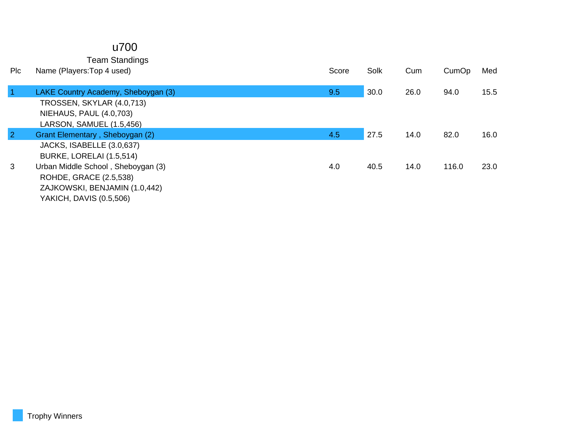#### u700

Team Standings

| Plc            | Name (Players: Top 4 used)          | Score | Solk | Cum  | CumOp | Med  |
|----------------|-------------------------------------|-------|------|------|-------|------|
|                |                                     |       |      |      |       |      |
|                | LAKE Country Academy, Sheboygan (3) | 9.5   | 30.0 | 26.0 | 94.0  | 15.5 |
|                | TROSSEN, SKYLAR (4.0,713)           |       |      |      |       |      |
|                | <b>NIEHAUS, PAUL (4.0,703)</b>      |       |      |      |       |      |
|                | LARSON, SAMUEL (1.5,456)            |       |      |      |       |      |
| $\overline{2}$ | Grant Elementary, Sheboygan (2)     | 4.5   | 27.5 | 14.0 | 82.0  | 16.0 |
|                | JACKS, ISABELLE (3.0,637)           |       |      |      |       |      |
|                | BURKE, LORELAI (1.5,514)            |       |      |      |       |      |
| 3              | Urban Middle School, Sheboygan (3)  | 4.0   | 40.5 | 14.0 | 116.0 | 23.0 |
|                | ROHDE, GRACE (2.5,538)              |       |      |      |       |      |
|                | ZAJKOWSKI, BENJAMIN (1.0,442)       |       |      |      |       |      |
|                | YAKICH, DAVIS (0.5,506)             |       |      |      |       |      |
|                |                                     |       |      |      |       |      |